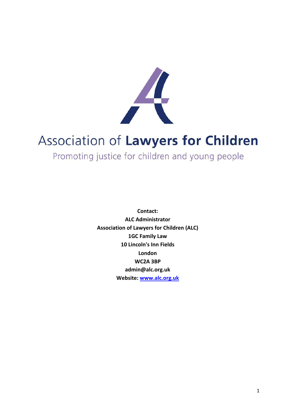

# Association of Lawyers for Children

Promoting justice for children and young people

**Contact: ALC Administrator Association of Lawyers for Children (ALC) 1GC Family Law 10 Lincoln's Inn Fields London WC2A 3BP admin@alc.org.uk Website: www.alc.org.uk**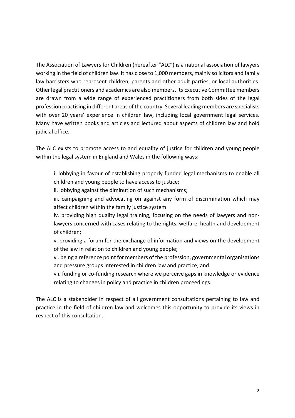The Association of Lawyers for Children (hereafter "ALC") is a national association of lawyers working in the field of children law. It has close to 1,000 members, mainly solicitors and family law barristers who represent children, parents and other adult parties, or local authorities. Other legal practitioners and academics are also members. Its Executive Committee members are drawn from a wide range of experienced practitioners from both sides of the legal profession practising in different areas of the country. Several leading members are specialists with over 20 years' experience in children law, including local government legal services. Many have written books and articles and lectured about aspects of children law and hold judicial office.

The ALC exists to promote access to and equality of justice for children and young people within the legal system in England and Wales in the following ways:

i. lobbying in favour of establishing properly funded legal mechanisms to enable all children and young people to have access to justice;

ii. lobbying against the diminution of such mechanisms;

iii. campaigning and advocating on against any form of discrimination which may affect children within the family justice system

iv. providing high quality legal training, focusing on the needs of lawyers and nonlawyers concerned with cases relating to the rights, welfare, health and development of children;

v. providing a forum for the exchange of information and views on the development of the law in relation to children and young people;

vi. being a reference point for members of the profession, governmental organisations and pressure groups interested in children law and practice; and

vii. funding or co-funding research where we perceive gaps in knowledge or evidence relating to changes in policy and practice in children proceedings.

The ALC is a stakeholder in respect of all government consultations pertaining to law and practice in the field of children law and welcomes this opportunity to provide its views in respect of this consultation.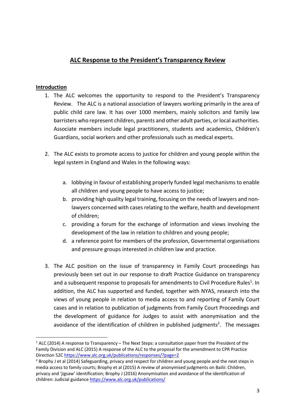# **ALC Response to the President's Transparency Review**

# **Introduction**

- 1. The ALC welcomes the opportunity to respond to the President's Transparency Review. The ALC is a national association of lawyers working primarily in the area of public child care law. It has over 1000 members, mainly solicitors and family law barristers who represent children, parents and other adult parties, or local authorities. Associate members include legal practitioners, students and academics, Children's Guardians, social workers and other professionals such as medical experts.
- 2. The ALC exists to promote access to justice for children and young people within the legal system in England and Wales in the following ways:
	- a. lobbying in favour of establishing properly funded legal mechanisms to enable all children and young people to have access to justice;
	- b. providing high quality legal training, focusing on the needs of lawyers and nonlawyers concerned with cases relating to the welfare, health and development of children;
	- c. providing a forum for the exchange of information and views involving the development of the law in relation to children and young people;
	- d. a reference point for members of the profession, Governmental organisations and pressure groups interested in children law and practice.
- 3. The ALC position on the issue of transparency in Family Court proceedings has previously been set out in our response to draft Practice Guidance on transparency and a subsequent response to proposals for amendments to Civil Procedure Rules<sup>1</sup>. In addition, the ALC has supported and funded, together with NYAS, research into the views of young people in relation to media access to and reporting of Family Court cases and in relation to publication of judgments from Family Court Proceedings and the development of guidance for Judges to assist with anonymisation and the avoidance of the identification of children in published judgments<sup>2</sup>. The messages

 $1$  ALC (2014) A response to Transparency – The Next Steps: a consultation paper from the President of the Family Division and ALC (2015) A response of the ALC to the proposal for the amendment to CPR Practice Direction 52C https://www.alc.org.uk/publications/responses/?page=2

<sup>&</sup>lt;sup>2</sup> Brophy J et al (2014) Safeguarding, privacy and respect for children and young people and the next steps in media access to family courts; Brophy et al (2015) A review of anonymised judgments on Bailii: Children, privacy and 'jigsaw' identification; Brophy J (2016) Anonymisation and avoidance of the identification of children: Judicial guidance https://www.alc.org.uk/publications/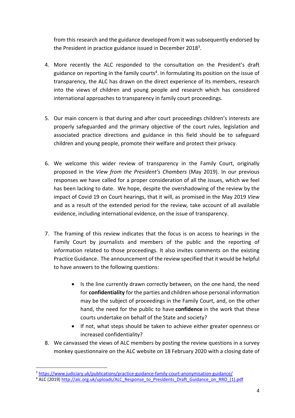from this research and the guidance developed from it was subsequently endorsed by the President in practice guidance issued in December 2018<sup>3</sup>.

- 4. More recently the ALC responded to the consultation on the President's draft guidance on reporting in the family courts<sup>4</sup>. In formulating its position on the issue of transparency, the ALC has drawn on the direct experience of its members, research into the views of children and young people and research which has considered international approaches to transparency in family court proceedings.
- 5. Our main concern is that during and after court proceedings children's interests are properly safeguarded and the primary objective of the court rules, legislation and associated practice directions and guidance in this field should be to safeguard children and young people, promote their welfare and protect their privacy.
- 6. We welcome this wider review of transparency in the Family Court, originally proposed in the *View from the President's Chambers* (May 2019). In our previous responses we have called for a proper consideration of all the issues, which we feel has been lacking to date. We hope, despite the overshadowing of the review by the impact of Covid 19 on Court hearings, that it will, as promised in the May 2019 *View* and as a result of the extended period for the review*,* take account of all available evidence, including international evidence, on the issue of transparency.
- 7. The framing of this review indicates that the focus is on access to hearings in the Family Court by journalists and members of the public and the reporting of information related to those proceedings. It also invites comments on the existing Practice Guidance. The announcement of the review specified that it would be helpful to have answers to the following questions:
	- Is the line currently drawn correctly between, on the one hand, the need for **confidentiality** for the parties and children whose personal information may be the subject of proceedings in the Family Court, and, on the other hand, the need for the public to have **confidence** in the work that these courts undertake on behalf of the State and society?
	- If not, what steps should be taken to achieve either greater openness or increased confidentiality?
- 8. We canvassed the views of ALC members by posting the review questions in a survey monkey questionnaire on the ALC website on 18 February 2020 with a closing date of

<sup>3</sup> https://www.judiciary.uk/publications/practice-guidance-family-court-anonymisation-guidance/

<sup>&</sup>lt;sup>4</sup> ALC (2019) http://alc.org.uk/uploads/ALC\_Response\_to\_Presidents\_Draft\_Guidance\_on\_RRO\_(1).pdf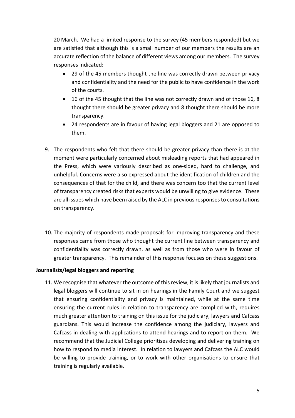20 March. We had a limited response to the survey (45 members responded) but we are satisfied that although this is a small number of our members the results are an accurate reflection of the balance of different views among our members. The survey responses indicated:

- 29 of the 45 members thought the line was correctly drawn between privacy and confidentiality and the need for the public to have confidence in the work of the courts.
- 16 of the 45 thought that the line was not correctly drawn and of those 16, 8 thought there should be greater privacy and 8 thought there should be more transparency.
- 24 respondents are in favour of having legal bloggers and 21 are opposed to them.
- 9. The respondents who felt that there should be greater privacy than there is at the moment were particularly concerned about misleading reports that had appeared in the Press, which were variously described as one-sided, hard to challenge, and unhelpful. Concerns were also expressed about the identification of children and the consequences of that for the child, and there was concern too that the current level of transparency created risks that experts would be unwilling to give evidence. These are all issues which have been raised by the ALC in previous responses to consultations on transparency.
- 10. The majority of respondents made proposals for improving transparency and these responses came from those who thought the current line between transparency and confidentiality was correctly drawn, as well as from those who were in favour of greater transparency. This remainder of this response focuses on these suggestions.

#### **Journalists/legal bloggers and reporting**

11. We recognise that whatever the outcome of this review, it is likely that journalists and legal bloggers will continue to sit in on hearings in the Family Court and we suggest that ensuring confidentiality and privacy is maintained, while at the same time ensuring the current rules in relation to transparency are complied with, requires much greater attention to training on this issue for the judiciary, lawyers and Cafcass guardians. This would increase the confidence among the judiciary, lawyers and Cafcass in dealing with applications to attend hearings and to report on them. We recommend that the Judicial College prioritises developing and delivering training on how to respond to media interest. In relation to lawyers and Cafcass the ALC would be willing to provide training, or to work with other organisations to ensure that training is regularly available.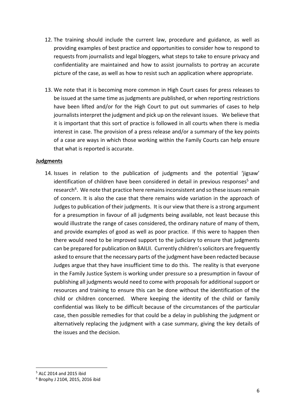- 12. The training should include the current law, procedure and guidance, as well as providing examples of best practice and opportunities to consider how to respond to requests from journalists and legal bloggers, what steps to take to ensure privacy and confidentiality are maintained and how to assist journalists to portray an accurate picture of the case, as well as how to resist such an application where appropriate.
- 13. We note that it is becoming more common in High Court cases for press releases to be issued at the same time as judgments are published, or when reporting restrictions have been lifted and/or for the High Court to put out summaries of cases to help journalists interpret the judgment and pick up on the relevant issues. We believe that it is important that this sort of practice is followed in all courts when there is media interest in case. The provision of a press release and/or a summary of the key points of a case are ways in which those working within the Family Courts can help ensure that what is reported is accurate.

## **Judgments**

14. Issues in relation to the publication of judgments and the potential 'jigsaw' identification of children have been considered in detail in previous responses<sup>5</sup> and research<sup>6</sup>. We note that practice here remains inconsistent and so these issues remain of concern. It is also the case that there remains wide variation in the approach of Judges to publication of their judgments. It is our view that there is a strong argument for a presumption in favour of all judgments being available, not least because this would illustrate the range of cases considered, the ordinary nature of many of them, and provide examples of good as well as poor practice. If this were to happen then there would need to be improved support to the judiciary to ensure that judgments can be prepared for publication on BAILII. Currently children's solicitors are frequently asked to ensure that the necessary parts of the judgment have been redacted because Judges argue that they have insufficient time to do this. The reality is that everyone in the Family Justice System is working under pressure so a presumption in favour of publishing all judgments would need to come with proposals for additional support or resources and training to ensure this can be done without the identification of the child or children concerned. Where keeping the identity of the child or family confidential was likely to be difficult because of the circumstances of the particular case, then possible remedies for that could be a delay in publishing the judgment or alternatively replacing the judgment with a case summary, giving the key details of the issues and the decision.

<sup>5</sup> ALC 2014 and 2015 ibid

<sup>6</sup> Brophy J 2104, 2015, 2016 ibid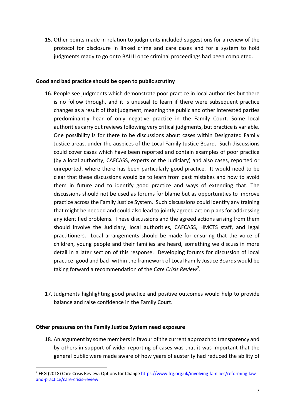15. Other points made in relation to judgments included suggestions for a review of the protocol for disclosure in linked crime and care cases and for a system to hold judgments ready to go onto BAILII once criminal proceedings had been completed.

# **Good and bad practice should be open to public scrutiny**

- 16. People see judgments which demonstrate poor practice in local authorities but there is no follow through, and it is unusual to learn if there were subsequent practice changes as a result of that judgment, meaning the public and other interested parties predominantly hear of only negative practice in the Family Court. Some local authorities carry out reviews following very critical judgments, but practice is variable. One possibility is for there to be discussions about cases within Designated Family Justice areas, under the auspices of the Local Family Justice Board. Such discussions could cover cases which have been reported and contain examples of poor practice (by a local authority, CAFCASS, experts or the Judiciary) and also cases, reported or unreported, where there has been particularly good practice. It would need to be clear that these discussions would be to learn from past mistakes and how to avoid them in future and to identify good practice and ways of extending that. The discussions should not be used as forums for blame but as opportunities to improve practice across the Family Justice System. Such discussions could identify any training that might be needed and could also lead to jointly agreed action plans for addressing any identified problems. These discussions and the agreed actions arising from them should involve the Judiciary, local authorities, CAFCASS, HMCTS staff, and legal practitioners. Local arrangements should be made for ensuring that the voice of children, young people and their families are heard, something we discuss in more detail in a later section of this response. Developing forums for discussion of local practice- good and bad- within the framework of Local Family Justice Boards would be taking forward a recommendation of the *Care Crisis Review7.*
- 17. Judgments highlighting good practice and positive outcomes would help to provide balance and raise confidence in the Family Court.

#### **Other pressures on the Family Justice System need exposure**

18. An argument by some members in favour of the current approach to transparency and by others in support of wider reporting of cases was that it was important that the general public were made aware of how years of austerity had reduced the ability of

<sup>7</sup> FRG (2018) Care Crisis Review: Options for Change https://www.frg.org.uk/involving-families/reforming-lawand-practice/care-crisis-review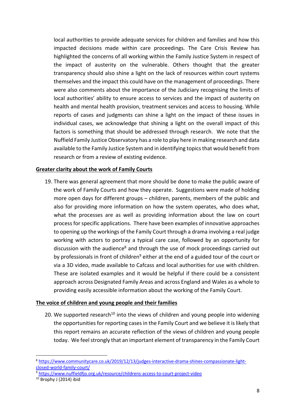local authorities to provide adequate services for children and families and how this impacted decisions made within care proceedings. The Care Crisis Review has highlighted the concerns of all working within the Family Justice System in respect of the impact of austerity on the vulnerable. Others thought that the greater transparency should also shine a light on the lack of resources within court systems themselves and the impact this could have on the management of proceedings. There were also comments about the importance of the Judiciary recognising the limits of local authorities' ability to ensure access to services and the impact of austerity on health and mental health provision, treatment services and access to housing. While reports of cases and judgments can shine a light on the impact of these issues in individual cases, we acknowledge that shining a light on the overall impact of this factors is something that should be addressed through research. We note that the Nuffield Family Justice Observatory has a role to play here in making research and data available to the Family Justice System and in identifying topics that would benefit from research or from a review of existing evidence.

## **Greater clarity about the work of Family Courts**

19. There was general agreement that more should be done to make the public aware of the work of Family Courts and how they operate. Suggestions were made of holding more open days for different groups – children, parents, members of the public and also for providing more information on how the system operates, who does what, what the processes are as well as providing information about the law on court process for specific applications. There have been examples of innovative approaches to opening up the workings of the Family Court through a drama involving a real judge working with actors to portray a typical care case, followed by an opportunity for discussion with the audience<sup>8</sup> and through the use of mock proceedings carried out by professionals in front of children<sup>9</sup> either at the end of a guided tour of the court or via a 3D video, made available to Cafcass and local authorities for use with children. These are isolated examples and it would be helpful if there could be a consistent approach across Designated Family Areas and across England and Wales as a whole to providing easily accessible information about the working of the Family Court.

#### **The voice of children and young people and their families**

20. We supported research<sup>10</sup> into the views of children and young people into widening the opportunities for reporting cases in the Family Court and we believe it is likely that this report remains an accurate reflection of the views of children and young people today. We feel strongly that an important element of transparency in the Family Court

<sup>8</sup> https://www.communitycare.co.uk/2019/12/13/judges-interactive-drama-shines-compassionate-lightclosed-world-family-court/

<sup>9</sup> https://www.nuffieldfjo.org.uk/resource/childrens-access-to-court-project-video

 $10$  Brophy J (2014) ibid